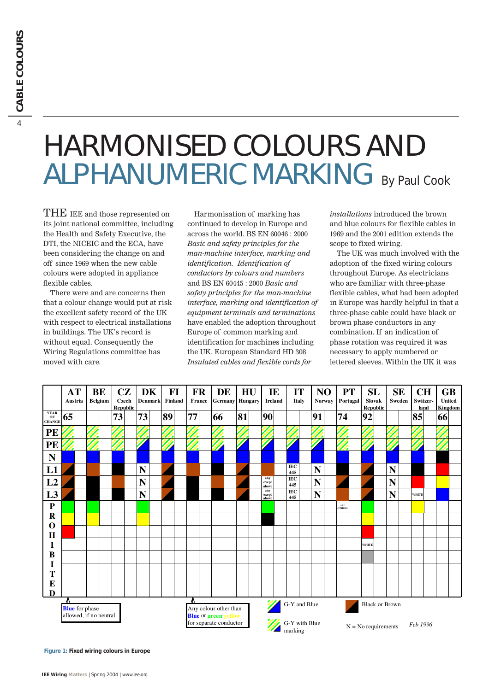# HARMONISED COLOURS AND ALPHANUMERIC MARKING By Paul Cook

THE IEE and those represented on its joint national committee, including the Health and Safety Executive, the DTI, the NICEIC and the ECA, have been considering the change on and off since 1969 when the new cable colours were adopted in appliance flexible cables.

There were and are concerns then that a colour change would put at risk the excellent safety record of the UK with respect to electrical installations in buildings. The UK's record is without equal. Consequently the Wiring Regulations committee has moved with care.

Harmonisation of marking has continued to develop in Europe and across the world. BS EN 60046 : 2000 *Basic and safety principles for the man-machine interface, marking and identification. Identification of conductors by colours and numbers* and BS EN 60445 : 2000 *Basic and safety principles for the man-machine interface, marking and identification of equipment terminals and terminations* have enabled the adoption throughout Europe of common marking and identification for machines including the UK. European Standard HD 308 *Insulated cables and flexible cords for*

*installations* introduced the brown and blue colours for flexible cables in 1969 and the 2001 edition extends the scope to fixed wiring.

The UK was much involved with the adoption of the fixed wiring colours throughout Europe. As electricians who are familiar with three-phase flexible cables, what had been adopted in Europe was hardly helpful in that a three-phase cable could have black or brown phase conductors in any combination. If an indication of phase rotation was required it was necessary to apply numbered or lettered sleeves. Within the UK it was

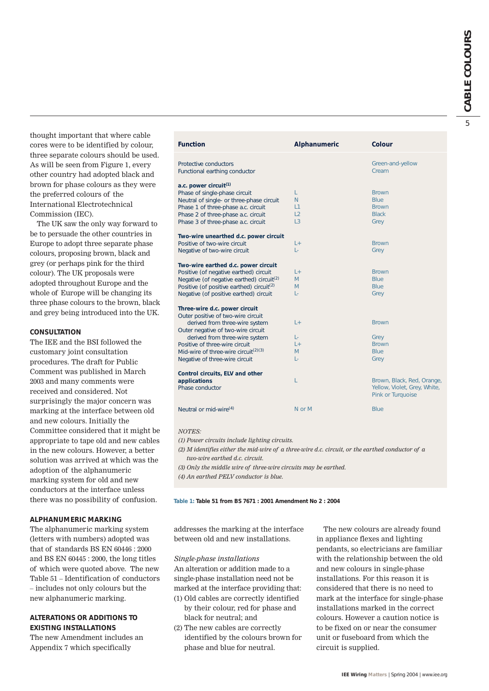thought important that where cable cores were to be identified by colour, three separate colours should be used. As will be seen from Figure 1, every other country had adopted black and brown for phase colours as they were the preferred colours of the International Electrotechnical Commission (IEC).

The UK saw the only way forward to be to persuade the other countries in Europe to adopt three separate phase colours, proposing brown, black and grey (or perhaps pink for the third colour). The UK proposals were adopted throughout Europe and the whole of Europe will be changing its three phase colours to the brown, black and grey being introduced into the UK.

### **CONSULTATION**

The IEE and the BSI followed the customary joint consultation procedures. The draft for Public Comment was published in March 2003 and many comments were received and considered. Not surprisingly the major concern was marking at the interface between old and new colours. Initially the Committee considered that it might be appropriate to tape old and new cables in the new colours. However, a better solution was arrived at which was the adoption of the alphanumeric marking system for old and new conductors at the interface unless there was no possibility of confusion.

## **ALPHANUMERIC MARKING**

The alphanumeric marking system (letters with numbers) adopted was that of standards BS EN 60446 : 2000 and BS EN 60445 : 2000, the long titles of which were quoted above. The new Table 51 – Identification of conductors – includes not only colours but the new alphanumeric marking.

# **ALTERATIONS OR ADDITIONS TO EXISTING INSTALLATIONS**

The new Amendment includes an Appendix 7 which specifically

| <b>Function</b>                                       | <b>Alphanumeric</b> | <b>Colour</b>                |
|-------------------------------------------------------|---------------------|------------------------------|
|                                                       |                     |                              |
| <b>Protective conductors</b>                          |                     | Green-and-yellow             |
| Functional earthing conductor                         |                     | Cream                        |
| a.c. power circuit <sup>(1)</sup>                     |                     |                              |
| Phase of single-phase circuit                         | L                   | <b>Brown</b>                 |
| Neutral of single- or three-phase circuit             | N.                  | <b>Blue</b>                  |
| Phase 1 of three-phase a.c. circuit                   | L1                  | <b>Brown</b>                 |
| Phase 2 of three-phase a.c. circuit                   | L2                  | <b>Black</b>                 |
| Phase 3 of three-phase a.c. circuit                   | L3                  | Grey                         |
| Two-wire unearthed d.c. power circuit                 |                     |                              |
| Positive of two-wire circuit                          | L+                  | <b>Brown</b>                 |
| Negative of two-wire circuit                          | L.                  | Grey                         |
| Two-wire earthed d.c. power circuit                   |                     |                              |
| Positive (of negative earthed) circuit                | $L +$               | <b>Brown</b>                 |
| Negative (of negative earthed) circuit <sup>(2)</sup> | M                   | <b>Blue</b>                  |
| Positive (of positive earthed) circuit <sup>(2)</sup> | M                   | <b>Blue</b>                  |
| Negative (of positive earthed) circuit                | L-                  | Grey                         |
| Three-wire d.c. power circuit                         |                     |                              |
| Outer positive of two-wire circuit                    |                     |                              |
| derived from three-wire system                        | L+                  | <b>Brown</b>                 |
| Outer negative of two-wire circuit                    |                     |                              |
| derived from three-wire system                        | Ŀ.                  | Grey                         |
| Positive of three-wire circuit                        | $L +$               | <b>Brown</b>                 |
| Mid-wire of three-wire circuit <sup>(2)(3)</sup>      | M                   | <b>Blue</b>                  |
| Negative of three-wire circuit                        | L-                  | Grey                         |
| Control circuits, ELV and other                       |                     |                              |
| applications                                          | L                   | Brown, Black, Red, Orange,   |
| Phase conductor                                       |                     | Yellow, Violet, Grey, White, |
|                                                       |                     | Pink or Turquoise            |
| Neutral or mid-wire <sup>(4)</sup>                    | N or M              | <b>Blue</b>                  |
|                                                       |                     |                              |

#### *NOTES:*

*(1) Power circuits include lighting circuits.*

*(2) M identifies either the mid-wire of a three-wire d.c. circuit, or the earthed conductor of a two-wire earthed d.c. circuit.*

*(3) Only the middle wire of three-wire circuits may be earthed.*

*(4) An earthed PELV conductor is blue.*

**Table 1: Table 51 from BS 7671 : 2001 Amendment No 2 : 2004**

addresses the marking at the interface between old and new installations.

#### *Single-phase installations*

An alteration or addition made to a single-phase installation need not be marked at the interface providing that:

- (1) Old cables are correctly identified by their colour, red for phase and black for neutral; and
- (2) The new cables are correctly identified by the colours brown for phase and blue for neutral.

The new colours are already found in appliance flexes and lighting pendants, so electricians are familiar with the relationship between the old and new colours in single-phase installations. For this reason it is considered that there is no need to mark at the interface for single-phase installations marked in the correct colours. However a caution notice is to be fixed on or near the consumer unit or fuseboard from which the circuit is supplied.